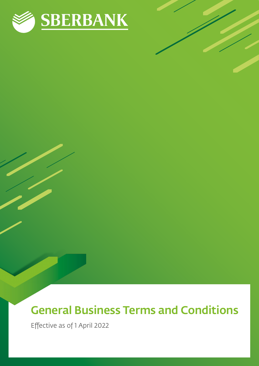

# General Business Terms and Conditions

Effective as of 1 April 2022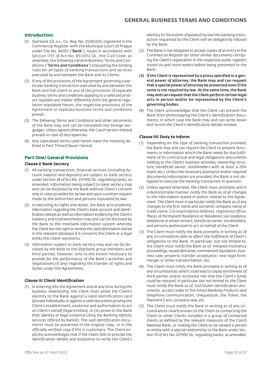# **Introduction**

- (1) Sberbank CZ, a.s., Co. Reg. No. 25083325, registered in the Commercial Register with the Municipal Court of Prague under File No. B4353 ("Bank"), issues in accordance with Section 1751 of Act No. 89/2012 Sb., the Civil Code, as amended, the following General Business Terms and Conditions ("Terms and Conditions") stipulating the binding rules for all types of banking transactions and services executed by and between the Bank and its Clients.
- (2) If any of the provisions of the Agreement governing a particular banking transaction executed by and between the Bank and the Client or any of the provisions of separate business terms and conditions applying to a selected product regulate any matter differently from the general regulation stipulated herein, the respective provisions of the Agreement or separate business terms and conditions prevail.
- (3) The following Terms and Conditions and other documents of the Bank may and can be translated into foreign languages. Unless agreed otherwise, the Czech version thereof prevails in case of discrepancies.
- (4) Any capitalised terms used herein have the meaning defined in Part Three/Clause I hereof.

# **Part One/ General Provisions**

#### **Clause I/ Bank Secrecy**

- (1) All banking transactions, financial services (including Account balance and deposits) are subject to bank secrecy under Section 38 of Act No. 21/1992 Sb., regulating banks, as amended. Information being subject to bank secrecy may and can be disclosed by the Bank without Client's consent only in cases provided for by law and upon a written request made by the authorities and persons stipulated by law.
- (2) In executing its rights and duties, the Bank acts prudently. Information regarding the Client's bank account and identification details as well as information evidencing the Client's solvency and trustworthiness may and can be disclosed by the Bank to the interbank information system whereby the Client has the right to review the said information stored in the relevant database if it concerns the Client or a legal entity the Client represents.
- (3) Information subject to bank secrecy may and can be disclosed by the Bank to the Sberbank group members and third parties; however, only to the extent necessary to provide for the performance of the Bank's activities and negotiations (if any) regarding the transfer of rights and duties under the Agreements.

# **Clause II/ Client Identification**

(1) In entering into the Agreement and at any time during the business relationship, the Client must prove the Client's identity to the Bank against a valid identification card (private individuals) or against a valid document proving the Client's establishment, existence and authorisation to act on Client's behalf (legal entities), or (iii) prove to the Bank their identity or legal existence using the Banking Identity services offered by BankID. The said identification documents must be presented in the original copy; or in the officially verified copy if this is customary. The Client explicitly acknowledges that if the Client fails to provide the identification details and assistance to verify the Client's

identity to the extent stipulated by law the banking transaction requested by the Client will be obligatorily refused by the Bank.

- (2) The Bank is not obligated to accept copies of an entry in the Commercial Register (or other similar documents certifying the Client's registration in the respective public register) issued six and more weeks before being presented to the Bank.
- (3) If the Client is represented by a proxy specified in a general power of attorney, the Bank may and can request that a special power of attorney be presented even if the same is not required by law. At the same time, the Bank may and can request that the Client perform certain legal acts in person and/or be represented by the Client's governing bodies.
- (4) The Client acknowledges that the Client can prevent the Bank from photocopying the Client's identification documents; in which case the Bank may and can write down and record the Client's identification details instead.

#### **Clause III/ Duty to Inform**

- (1) Depending on the type of banking transaction provided, the Bank may and can require the Client to present documents or information which the Bank needs for due fulfilment of its contractual and legal obligations (documents relating to the Client's business activities, ownership structure, beneficial owner, stockholders with at least a 20% share, etc.). Unless the necessary assistance and/or required documents/information are provided, the Bank is not obligated to execute the banking transaction in question.
- (2) Unless agreed otherwise, the Client must, promptly and in a demonstrable manner, notify the Bank as of all changes to the information stated in and/or related to the Agreement. The Client must in particular notify the Bank as of any changes to the first name and surname, company name or trade name, Correspondence Address, registered office, Places of Permanent Residence or Residence, tax residence, telephone or email contact, beneficial owner, stockholders, and persons authorised to act on behalf of the Client.
- (3) The Client must notify the Bank promptly in writing as of any circumstances able to affect the fulfilment of Client's obligations to the Bank. In particular, but not limited to, the Client must notify the Bank as of: initiated insolvency proceedings, issued distrainer, commenced liquidation, business sale, property transfer acceptance, new legal form, merger or other transformation, etc.
- (4) The Client must notify the Bank promptly in writing as of any circumstances which could lead to unjust enrichment of third parties and/or increased risk that the Client's funds could be misused. In particular, but not limited to, the Client must notify the Bank as of: lost/stolen identification documents, access codes to the Direct Banking Products and telephone communication, chequebook, the Token, the Payment Card, company seal, etc.
- (5) The Client must notify the Bank in writing as of any circumstances clearly known to the Client as connecting the Client to other Clients included in a group of connected clients as defined by the relevant measures of the Czech National Bank; or making the Client to be viewed a person or entity with a special relationship to the Bank under Section 19 of Act No. 21/1992 Sb., regulating banks, as amended.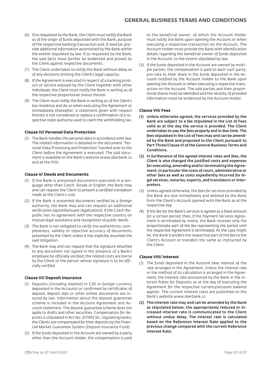- (6) If so requested by the Bank, the Client must notify the Bank as of the origin of funds deposited with the Bank, purpose of the respective banking transaction and, if need be, provide additional information ascertained by the Bank within the extent stipulated by law. If so requested by the Bank, the said facts must further be evidenced and proved by the Client against respective documents.
- (7) The Client undertakes to notify the Bank without delay as of any decisions limiting the Client's legal capacity.
- (8) If the Agreement is executed in respect of a banking product or service enjoyed by the Client together with other individuals, the Client must notify the Bank in writing as of the respective proportional shares therein.
- (9) The Client must notify the Bank in writing as of the Client's tax residence and do so when executing the Agreement or immediately thereafter; a statement given with respect thereto is not considered to replace a confirmation of a respective state authority used to claim the withholding tax.

# **Clause IV/ Personal Data Protection**

(1) The Bank handles the personal data in accordance with law. The related information is detailed in the document "Personal Data Processing and Protection" handed over to the Client before the Agreement is executed. The said document is available on the Bank's website www.sberbank.cz and at the POS.

#### **Clause V/ Deeds and Documents**

- (1) If the Bank is presented documents executed in a language other than Czech, Slovak or English, the Bank may and can request the Client to present a certified translation made at the Client's cost.
- (2) If the Bank is presented documents verified by a foreign authority, the Bank may and can request an additional verification (apostille/super legalization); if the Czech Republic has no agreement with the respective country on mutual legal assistance and recognition of public deeds.
- (3) The Bank is not obligated to verify the authenticity, completeness, validity or objective accuracy of documents presented by the Client unless it has explicitly assumed the said obligation.
- (4) The Bank may and can request that the signature attached to any document not signed in the presence of a Bank's employee be officially verified; the related costs are borne by the Client or the person whose signature is to be officially verified.

#### **Clause VI/ Deposit Insurance**

- (1) Deposits (including interest) in CZK or foreign currency deposited in the Accounts or confirmed by certificates of deposit, deposit slips or other similar documents are insured by law. Information about the deposit guarantee scheme is included in the Account Agreement and Account statement. The deposit guarantee scheme does not apply to drafts and other securities. Compensation for deposits is stipulated in Act No. 21/1992 Sb., regulating banks; the Clients are compensated for their deposits by the Financial Market Guarantee System (Deposit Insurance Fund).
- (2) If the funds deposited in the Account are owned by a party other than the Account Holder, the compensation is paid

to the beneficial owner; of which the Account Holder must notify the Bank upon opening the Account or when executing a respective transaction on the Account. The Account Holder must provide the Bank with identification details regarding the beneficial owner of funds deposited in the Account; to the extent stipulated by law.

(3) If the funds deposited in the Account are owned by multiple parties, the compensation is paid to each such party; pro-rata to their share in the funds deposited in the Account notified by the Account Holder to the Bank upon opening the Account or when executing a respective transaction on the Account. The said parties and their proportional shares must be identified and the veracity of provided information must be evidenced by the Account Holder.

#### **Clause VII/ Fees**

- (1) Unless otherwise agreed, the services provided by the Bank are subject to a fee stipulated in the List of Fees valid as at the day the service is provided. The Client undertakes to pay the fees properly and in due time. The fees stipulated in the List of Fees may and can be amended by the Bank and proposed to the Client pursuant to Part Three/Clause III of the General Business Terms and Conditions.
- (2) In furtherance of the agreed interest rates and fees, the Client is also charged the justified costs and expenses for executing, amending and/or terminating the Agreement; in particular the costs of court, administrative or other fees as well as costs expediently incurred for legal services, notaries, experts, and translators or interpreters.
- (3) Unless agreed otherwise, the fees for services provided by the Bank are due immediately and debited by the Bank from the Client's Account opened with the Bank as at the respective day.
- (4) If the fee for the Bank's services is agreed as a fixed amount for a certain period, then, if the Payment Services Agreement is terminated by notice, the Bank receives only the proportionate part of the fee representing the period until the respective Agreement is terminated. As the case might be, the Bank transfers the respective part of the fee to the Client's Account or transfers the same as instructed by the Client.

#### **Clause VIII/ Interest**

- (1) The funds deposited in the Account bear interest at the rate arranged in the Agreement. Unless the interest rate or the method of its calculation is arranged in the Agreement, the interest rate announced by the Bank in the Interest Rates for Deposits as at the day of executing the Agreement for the respective currency/account balance applies. The current interest rates are published on the Bank's website www.sberbank.cz.
- (2) The interest rate may and can be amended by the Bank as stipulated below; the appropriately reduced or increased interest rate is communicated to the Client without undue delay. The interest rate is calculated based on the Reference Interest Rate applied to the previous change compared with the current Reference Interest Rate.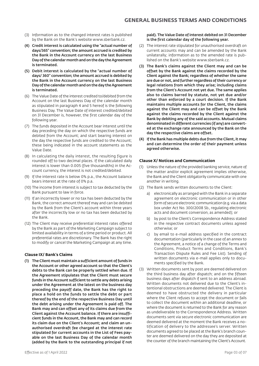- (3) Information as to the changed interest rates is published by the Bank on the Bank's website www.sberbank.cz.
- (4) Credit interest is calculated using the "actual number of days/365" convention; the amount accrued is credited by the Bank in the Account currency on the last Business Day of the calendar month and on the day the Agreement is terminated.
- (5) Debit interest is calculated by the "actual number of days/ 360" convention; the amount accrued is debited by the Bank in the Account currency on the last Business Day of the calendar month and on the day the Agreement is terminated.
- (6) The Value Date of the interest credited to/debited from the Account on the last Business Day of the calendar month as stipulated in paragraph 4 and 5 hereof is the following Business Day. The Value Date of interest credited/debited on 31 December is, however, the first calendar day of the following year.
- (7) The funds deposited in the Account bear interest until the day preceding the day on which the respective funds are debited from the Account; and start bearing interest on the day the respective funds are credited to the Account; these being indicated in the account statements as the Value Date.
- (8) In calculating the daily interest, the resulting figure is rounded off to two decimal places. If the calculated daily interest is lower than 0.005 (five thousandths) in the Account currency, the interest is not credited/debited.
- (9) If the interest rate is below 0% p.a., the Account balance bears interest at the rate of 0% p.a.
- (10) The income from interest is subject to tax deducted by the Bank pursuant to law in force.
- (11) If an incorrectly lower or no tax has been deducted by the Bank, the correct amount thereof may and can be debited by the Bank from the Client's account within three years after the incorrectly low or no tax has been deducted by the Bank.
- (12) The Client may receive preferential interest rates offered by the Bank as part of the Marketing Campaign subject to limited availability in terms of a time period or product. All preferential rates are discretionary. The Bank has the right to modify or cancel the Marketing Campaign at any time.

# **Clause IX/ Bank's Claims**

(1) The Client must maintain a sufficient amount of funds in the Account or other agreed account so that the Client's debts to the Bank can be properly settled when due. If the Agreement stipulates that the Client must secure funds in the Account sufficient to settle any debts arising under the Agreement at the latest on the business day preceding the payoff date, the Bank has the right to place a hold on the funds to settle the debt or part thereof by the end of the respective Business Day until the debt arising under the Agreement is paid off. The Bank may and can offset any of its claims due from the Client against the Account balance. If there are insufficient funds in the Account, the Bank may and can record its claim due on the Client's Account; and claim an unauthorised overdraft fee charged at the interest rate stipulated for current accounts in the List of Fees payable on the last Business Day of the calendar month (added by the Bank to the outstanding principal if not

#### paid). The Value Date of interest debited on 31 December is the first calendar day of the following year.

- (2) The interest rate stipulated for unauthorised overdraft on current accounts may and can be amended by the Bank unilaterally; information as to the amended rate is published on the Bank's website www.sberbank.cz.
- (3) The Bank's claims against the Client may and can be offset by the Bank against the claims recorded by the Client against the Bank; regardless of whether the same are due or not, and further regardless of their currency or legal relations from which they arise; including claims from the Client's Account not yet due. The same applies also to claims barred by statute, not yet due and/or other than enforced by a court decision. If the Bank maintains multiple accounts for the Client, the claims against the Client may and can be offset by the Bank against the claims recorded by the Client against the Bank by debiting any of the said accounts. Mutual claims denominated in different currencies (if any) are converted at the exchange rate announced by the Bank on the day the respective claims are offset.
- (4) If the Bank has multiple debts due from the Client, it may and can determine the order of their payment unless agreed otherwise.

#### **Clause X/ Notices and Communication**

- (1) Unless the nature of the provided banking service, nature of the matter and/or explicit agreement implies otherwise, the Bank and the Client obligatorily communicate with one another in writing.
- (2) The Bank sends written documents to the Client:
	- a) electronically as arranged with the Bank in a separate agreement on electronic communication or in other form of secure electronic communication (e.g. via a data box under Act No. 300/2008 Sb., regulating electronic acts and document conversion, as amended); or
	- b) by post to the Client's Correspondence Address stated in the respective contract documents unless agreed otherwise; or
	- c) by email to e-mail address specified in the contract documentation (particularly in the case of an annex to the Agreement, a notice of a change of the Terms and Conditions, Product Terms and Conditions, Bank's Transaction Dispute Rules and Fee List). Sending of written documents via e-mail applies only to documents specified by the Bank.
- (3) Written documents sent by post are deemed delivered on the third business day after dispatch; and on the fifteen business days after dispatch if sent to an address abroad. Written documents not delivered due to the Client's intentional obstructions are deemed delivered. The Client is deemed to have obstructed the delivery in particular where the Client refuses to accept the document or fails to collect the document within an additional deadline, or where the document is returned to the Bank for any reason as undeliverable to the Correspondence Address. Written documents sent via secure electronic communication are deemed delivered at the moment the Bank receives a notification of delivery to the addressee's server. Written documents agreed to be placed at the Bank's branch counter are deemed delivered on the day they are deposited at the counter of the branch maintaining the Client's Account.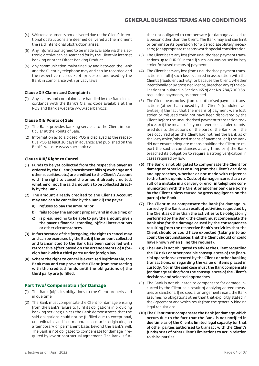- (4) Written documents not delivered due to the Client's intentional obstructions are deemed delivered at the moment the said intentional obstruction arises.
- (5) Any information agreed to be made available via the Electronic Archive can be searched for by the Client via internet banking or other Direct Banking Product.
- (6) Any communication maintained by and between the Bank and the Client by telephone may and can be recorded and the respective records kept, processed and used by the Bank in compliance with privacy laws.

# **Clause XI/ Claims and Complaints**

(1) Any claims and complaints are handled by the Bank in accordance with the Bank's Claims Code available at the POS and Bank's website www.sberbank.cz.

# **Clause XII/ Points of Sale**

- (1) The Bank provides banking services to the Client in particular at the Points of Sale.
- (2) Information as to a closed POS is displayed at the respective POS at least 30 days in advance; and published on the Bank's website www.sberbank.cz.

# **Clause XIII/ Right to Cancel**

- (1) Funds to be yet collected from the respective payer as ordered by the Client (encashment bills of exchange and other securities, etc.) are credited to the Client's Account with the right to cancel the amount already credited: whether or not the said amount is to be collected directly by the Bank.
- (2) The amount already credited to the Client's Account may and can be cancelled by the Bank if the payer:
	- a) refuses to pay the amount; or
	- b) fails to pay the amount properly and in due time; or
	- c) is presumed no to be able to pay the amount given the payer's financial standing, official interventions or other circumstances.
- (3) In furtherance of the foregoing, the right to cancel may and can be exercised by the Bank if the amount collected and transmitted to the Bank has been cancelled with retroactive effect based on the arrangements of a foreign bank with a third party under foreign law.
- (4) Where the right to cancel is exercised legitimately, the Bank may and can prevent the Client from transacting with the credited funds until the obligations of the third party are fulfilled.

# **Part Two/ Compensation for Damage**

- (1) The Bank fulfils its obligations to the Client properly and in due time.
- (2) The Bank must compensate the Client for damage ensuing from the Bank's failure to fulfil its obligations in providing banking services; unless the Bank demonstrates that the said obligations could not be fulfilled due to exceptional, unpredictable and insurmountable obstacles originating on a temporary or permanent basis beyond the Bank's will. The Bank is not obligated to compensate for damage if required by law or contractual agreement. The Bank is fur-

ther not obligated to compensate for damage caused to a person other than the Client. The Bank may and can limit or terminate its operation for a period absolutely necessary; for appropriate reasons worth special consideration.

- (3) The Client bears any loss from unauthorised payment transactions up to EUR 50 in total if such loss was caused by lost/ stolen/misused means of payment.
- (4) The Client bears any loss from unauthorised payment transactions in full if such loss occurred in association with the Client's fraudulent activity; or because the Client, whether intentionally or by gross negligence, breached any of the obligations stipulated in Section 165 of Act No. 284/2009 Sb., regulating payments, as amended.
- (5) The Client bears no loss from unauthorised payment transactions (other than caused by the Client's fraudulent activities) if the fact that the means of payment were lost, stolen or misused could not have been discovered by the Client before the unauthorised payment transaction took place; or if the means of payment were lost, stolen or misused due to the actions on the part of the Bank; or if the loss occurred after the Client had notified the Bank as of the lost/stolen/misused means of payment; or if the Bank did not ensure adequate means enabling the Client to report the said circumstances at any time; or if the Bank breached its obligation to require a strong verification in cases required by law.
- (6) The Bank is not obligated to compensate the Client for damage or other loss ensuing from the Client's decisions and approaches, whether or not made with reference to the Bank's opinion. Costs of damage incurred as a result of a mistake in a delivery or error in telephone communication with the Client or another bank are borne by the Client unless caused by gross negligence on the part of the Bank.
- (7) The Client must compensate the Bank for damage incurred by the Bank as a result of activities requested by the Client as other than the activities to be obligatorily performed by the Bank; the Client must compensate the Bank also for the damage caused by the consequences resulting from the respective Bank's activities that the Client should or could have expected (taking into account the circumstances that the Client should or could have known when filing the request).
- (8) The Bank is not obligated to advise the Client regarding the FX risks or other possible consequences of the financial operations executed by the Client or other banking transactions, or regarding the value of items placed in custody. Nor in the said case must the Bank compensate for damage arising from the consequences of the Client's decisions and selected approaches.
- (9) The Bank is not obligated to compensate for damage incurred by the Client as a result of applying agreed measures or sanctions. If no special arrangements exist, the Bank assumes no obligations other than that explicitly stated in the Agreement and which result from the generally binding legal regulations.
- (10) The Client must compensate the Bank for damage which occurs due to the fact that the Bank is not notified in due time as of the Client's limited legal capacity (or that of other parties authorised to transact with the Client's funds) or as of other Client's limitations to act in relation to third parties.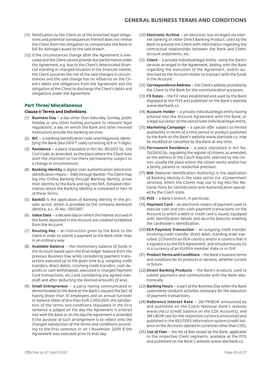- (11) Notification by the Client as of the breached legal obligations and potential consequences thereof does not relieve the Client from the obligation to compensate the Bank in full for damage caused by the said breach.
- (12) If the circumstances change after the Agreement is executed and the Client cannot provide due performance under the Agreement, e.g. due to the Client's deteriorated financial standing or changed situation in the financial market, the Client assumes the risk of the said changes in circumstances and the said change has no influence on the Client's debts and obligations from the Agreement and the obligation of the Client to discharge the Client's debts and obligations under the Agreement.

# **Part Three/ Miscellaneous**

#### **Clause I/ Terms and Definitions**

- (1) Business Day a day other than Saturday, Sunday, public holiday or any other holiday pursuant to relevant legal regulations; a day on which the Bank and other involved institutions provide the banking services.
- (2) BIC a banking identification code unambiguously identifying the Bank (aka SWIFT code) consisting of 8 or 11 digits.
- (3) Residence a place stipulated in Act No. 89/2012 Sb., the Civil Code, as amended, as the place where the Client lives with the intention to live there permanently subject to a change in circumstances.
- (4) Banking Identity is digital User authentication (electronic identification means – EIM) through BankID. The Client may log into Online Banking through Banking Identity, prove their identity to the Bank and log into NIA. Detailed information about the Banking Identity is contained in Part IX of these Terms.
- (5) BankID is the application of Banking Identity in the private sector, which is provided by the company Bankovní identita, a.s., ID No.: 09513817.
- (6) Value Date a decisive day on which the interest accrued in the funds deposited in the Account are credited to/debited from the Account.
- (7) Routing Key an instruction given by the Bank to the Client in order to submit a payment to the Bank other than in an ordinary way.
- (8) Available Balance  $-$  the momentary balance of funds in the Account based upon the final ledger balance from the previous Business Day while considering payment transactions executed up to the given time (e.g. outgoing credit transfers, direct debits, incoming credit transfers, cash deposits or cash withdrawals, executed or charged Payment Card transactions, etc.) and considering any agreed overdraft and after deducting the blocked amounts (if any).
- (9) Small Entrepreneur a party having communicated or demonstrated to the Bank at the Bank's request the fact of having fewer than 10 employees and an annual turnover or balance sheet of less than EUR 2,000,000; the satisfaction of the terms and conditions stipulated in the first sentence is judged on the day the Agreement is entered into with the Bank or on the day the Agreement is amended if the purpose of such arrangement is to reflect only the changed satisfaction of the terms and conditions according to the first sentence or on 1 November 2009 if the Agreement was executed prior to that day.
- (10) Electronic Archive an electronic box arranged via internet banking or other Direct Banking Product; used by the Bank to provide the Client with information regarding the contractual relationships between the Bank and Client, account statements, etc.
- (11) Client a private individual/legal entity: using the Bank's services arranged in the Agreement; dealing with the Bank regarding the execution of the Agreement; and/or authorised by the Account Holder to transact with the funds in the Account.
- (12) Correspondence Address the Client's address provided by the Client to the Bank for the communication purposes.
- (13) FX Rates the FX rates established and used by the Bank displayed at the POS and published on the Bank's website www.sberbank.cz.
- (14) Account Holder a private individual/legal entity having entered into the Account Agreement with the Bank; or a legal successor of the said private individual/legal entity.
- (15) Marketing Campaign a special offer subject to limited availability in terms of a time period or product published by the Bank on the Bank's website www.sberbank.cz; may be modified or cancelled by the Bank at any time.
- (16) Permanent Residence a place stipulated in Act No. 133/2000 Sb., regulating the register of citizens, as amended, as the address in the Czech Republic selected by the citizen; usually the place where the citizen works and/or has a family, parents or residential premises.
- (17) NIA (National Identification Authority) is the application of Banking Identity in the state sector (i.e. eGovernment services), which the Clients may use to log into the National Point for Identification and Authentication operated by the Czech state.
- (18) POS a Bank's branch, in particular.
- (19) Payment Card an electronic means of payment used to execute cash and non-cash payment transactions on the Account to which a debit or credit card is issued; equipped with identification details and security features enabling the cardholder's identification.
- (20)EEA Payment Transaction an outgoing credit transfer, incoming credit transfer, direct debit, standing order executed: (i) from/to an EEA country and/or a country that is a signatory to the EEA Agreement; and simultaneously (ii) in a currency of an EU/EEA member state or in CHF.
- (21) Product Terms and Conditions the Bank's business terms and conditions for its products or services, whether current or future.
- (22) Direct Banking Products the Bank's products used to submit payments and communicate with the Bank electronically.
- (23) Banking Hours a part of the Business Day when the Bank customarily conducts activities necessary for the execution of payment transactions.
- (24) Reference Interest Rate 3M PRIBOR announced by and published on the Czech National Bank's website www.cnb.cz (credit balance on the CZK Accounts); and 3M LIBOR rate for the respective currency announced and published in the REUTERS information system (credit balance on the Accounts opened in currencies other than CZK).
- (25) List of Fees the list of fees issued by the Bank, applicable to the respective Client segments; available at the POS and published on the Bank's website www.sberbank.cz.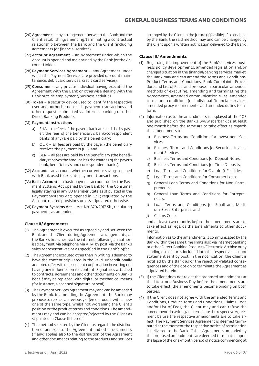- (26) Agreement any arrangement between the Bank and the Client establishing/amending/terminating a contractual relationship between the Bank and the Client (including agreements for financial services).
- (27) Account Agreement an Agreement under which the Account is opened and maintained by the Bank for the Account Holder.
- (28) Payment Services Agreement any Agreement under which the Payment Services are provided (account maintenance, debit card services, credit card services).
- (29) Consumer any private individual having executed the Agreement with the Bank or otherwise dealing with the Bank outside employment/business activities.
- (30) Token a security device used to identify the respective user and authorise non-cash payment transactions and other requests submitted via internet banking or other Direct Banking Products.
- (31) Payment Instructions
	- a) SHA the fees of the payer's bank are paid the by payer; the fees of the beneficiary's bank/correspondent banks (if any) are paid by the beneficiary;
	- b) OUR all fees are paid by the payer (the beneficiary receives the payment in full); and
	- c) BEN all fees are paid by the beneficiary (the beneficiary receives the amount less the charges of the payer's bank, beneficiary's and correspondent banks).
- (32) Account an account, whether current or savings, opened with Bank used to execute payment transactions.
- (33) Basic Account a basic payment account under the Payment Systems Act opened by the Bank for the Consumer legally staying in any EU Member State as stipulated in the Payment Systems Act; opened in CZK; regulated by the Account-related provisions unless stipulated otherwise.
- (34) Payment Systems Act Act No. 370/2017 Sb., regulating payments, as amended.

# **Clause II/ Agreements**

- (1) The Agreement is executed as agreed by and between the Bank and the Client during Agreement arrangements; at the Bank's branches, via the internet, following an authorised payment, via telephone, via ATM, by post, via the Bank's sales representatives or as specified in the Bank's offer.
- (2) The Agreement executed other than in writing is deemed to have the content stipulated in the valid, unconditionally accepted offer with subsequent confirmation in writing not having any influence on its content. Signatures attached to contracts, agreements and other documents on Bank's behalf may be replaced with digital or mechanical means (for instance, a scanned signature or seal).
- (3) The Payment Services Agreement may and can be amended by the Bank. In amending the Agreement, the Bank may propose to replace a previously offered product with a new one of the same type, whilst not worsening the Client's position or the product terms and conditions. The amendments may and can be accepted/rejected by the Client as stipulated in Clause III hereof.
- (4) The method selected by the Client as regards the distribution of annexes to the Agreement and other documents (if any) applies also to the distribution of the Agreement and other documents relating to the products and services

arranged by the Client in the future (if feasible). If so enabled by the Bank, the said method may and can be changed by the Client upon a written notification delivered to the Bank.

# **Clause III/ Amendments**

- (1) Regarding the improvement of the Bank's services, business policy developments, amended legislation and/or changed situation in the financial/banking services market, the Bank may and can amend the Terms and Conditions, Product Terms and Conditions, Bank Complaints Procedure and List of Fees; and propose, in particular, amended methods of executing, amending and terminating the Agreements, amended communication rules, amended terms and conditions for individual financial services, amended proxy requirements, and amended duties to inform.
- (2) Information as to the amendments is displayed at the POS and published on the Bank's www.sberbank.cz at least one month before the same are to take effect as regards the amendments to:
	- a) Business Terms and Conditions for Investment Services;
	- b) Business Terms and Conditions for Securities Investment Services;
	- c) Business Terms and Conditions for Deposit Notes;
	- d) Business Terms and Conditions for Time Deposits;
	- e) Loan Terms and Conditions for Overdraft Facilities;
	- f) Loan Terms and Conditions for Consumer Loans;
	- g) General Loan Terms and Conditions for Non-Entrepreneurs;
	- h) General Loan Terms and Conditions for Entrepreneurs;
	- i) Loan Terms and Conditions for Small and Medium-Sized Enterprises; and
	- j) Claims Code,

and at least two months before the amendments are to take effect as regards the amendments to other documents.

Information as to the amendments is communicated by the Bank within the same time limits also via internet banking or other Direct Banking Products/Electronic Archive or by sending e-mail; or is included into the respective account statement sent by post. In the notification, the Client is notified by the Bank as of the rejection-related consequences and of the option to terminate the Agreement as stipulated herein.

- (3) If the Client does not reject the proposed amendments at the latest one Business Day before the amendments are to take effect, the amendments become binding on both parties.
- (4) If the Client does not agree with the amended Terms and Conditions, Product Terms and Conditions, Claims Code and/or List of Fees, the Client may and can refuse the amendments in writing and terminate the respective Agreement before the respective amendments are to take effect. The Payment Services Agreement is deemed terminated at the moment the respective notice of termination is delivered to the Bank. Other Agreements amended by the proposed amendments are deemed terminated upon the lapse of the one-month period of notice commencing at